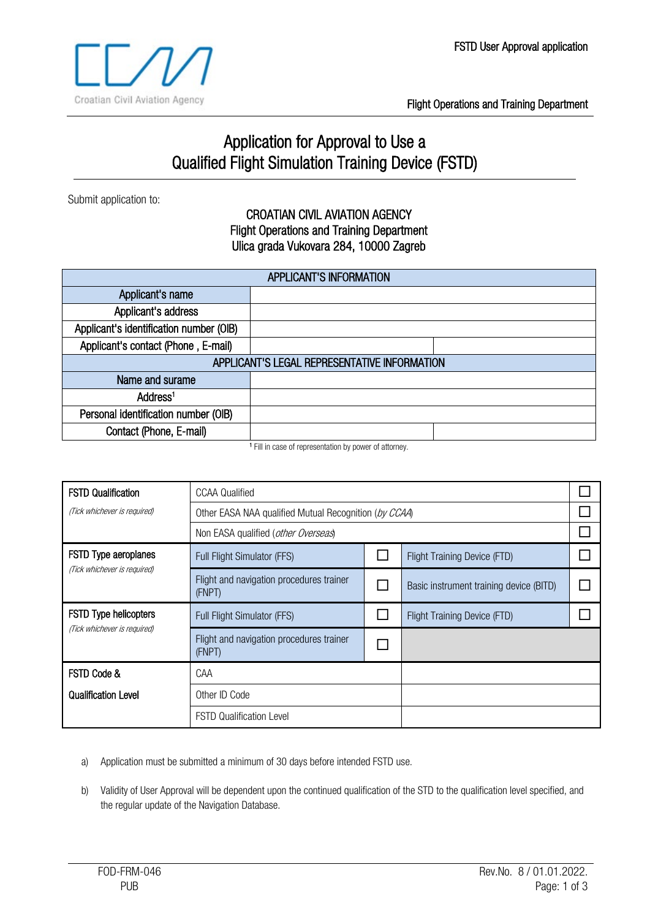

Flight Operations and Training Department

## Application for Approval to Use a Qualified Flight Simulation Training Device (FSTD)

Submit application to:

## CROATIAN CIVIL AVIATION AGENCY Flight Operations and Training Department Ulica grada Vukovara 284, 10000 Zagreb

| <b>APPLICANT'S INFORMATION</b>               |                |  |
|----------------------------------------------|----------------|--|
| Applicant's name                             |                |  |
| Applicant's address                          |                |  |
| Applicant's identification number (OIB)      |                |  |
| Applicant's contact (Phone, E-mail)          |                |  |
| APPLICANT'S LEGAL REPRESENTATIVE INFORMATION |                |  |
| Name and surame                              |                |  |
| Address <sup>1</sup>                         |                |  |
| Personal identification number (OIB)         |                |  |
| Contact (Phone, E-mail)                      |                |  |
|                                              | $\blacksquare$ |  |

<sup>1</sup> Fill in case of representation by power of attorney.

| <b>FSTD Qualification</b>    | <b>CCAA Qualified</b>                                 |  |                                         |  |
|------------------------------|-------------------------------------------------------|--|-----------------------------------------|--|
| (Tick whichever is required) | Other EASA NAA qualified Mutual Recognition (by CCAA) |  |                                         |  |
|                              | Non EASA qualified (other Overseas)                   |  |                                         |  |
| FSTD Type aeroplanes         | Full Flight Simulator (FFS)                           |  | <b>Flight Training Device (FTD)</b>     |  |
| (Tick whichever is required) | Flight and navigation procedures trainer<br>(FNPT)    |  | Basic instrument training device (BITD) |  |
| <b>FSTD Type helicopters</b> | Full Flight Simulator (FFS)                           |  | <b>Flight Training Device (FTD)</b>     |  |
| (Tick whichever is required) | Flight and navigation procedures trainer<br>(FNPT)    |  |                                         |  |
| FSTD Code &                  | CAA                                                   |  |                                         |  |
| <b>Qualification Level</b>   | Other ID Code                                         |  |                                         |  |
|                              | <b>FSTD Qualification Level</b>                       |  |                                         |  |

a) Application must be submitted a minimum of 30 days before intended FSTD use.

b) Validity of User Approval will be dependent upon the continued qualification of the STD to the qualification level specified, and the regular update of the Navigation Database.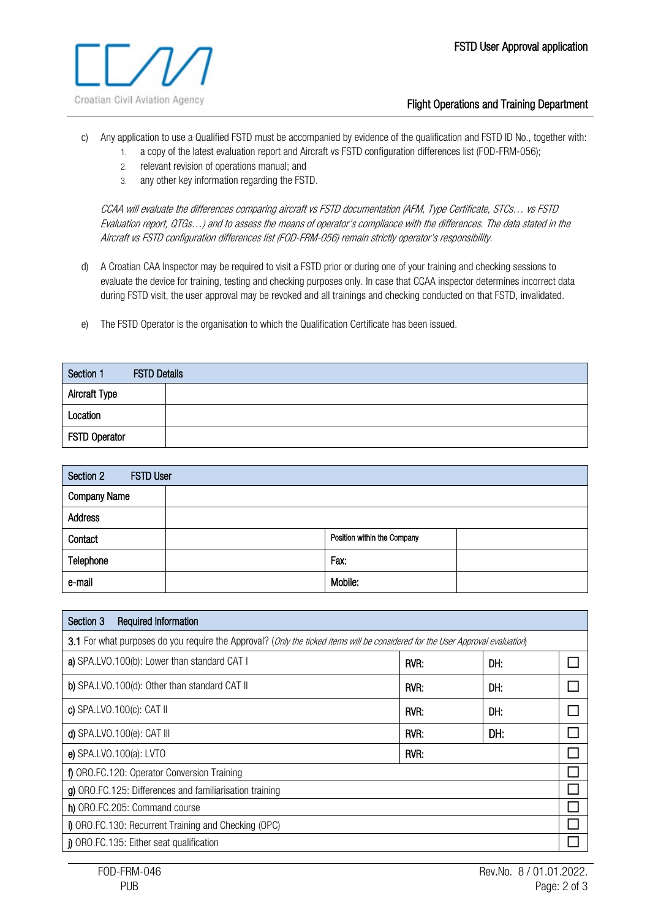

## Flight Operations and Training Department

- c) Any application to use a Qualified FSTD must be accompanied by evidence of the qualification and FSTD ID No., together with:
	- 1. a copy of the latest evaluation report and Aircraft vs FSTD configuration differences list (FOD-FRM-056);
	- 2. relevant revision of operations manual; and
	- 3. any other key information regarding the FSTD.

CCAA will evaluate the differences comparing aircraft vs FSTD documentation (AFM, Type Certificate, STCs… vs FSTD Evaluation report, QTGs…) and to assess the means of operator's compliance with the differences. The data stated in the Aircraft vs FSTD configuration differences list (FOD-FRM-056) remain strictly operator's responsibility.

- d) A Croatian CAA Inspector may be required to visit a FSTD prior or during one of your training and checking sessions to evaluate the device for training, testing and checking purposes only. In case that CCAA inspector determines incorrect data during FSTD visit, the user approval may be revoked and all trainings and checking conducted on that FSTD, invalidated.
- e) The FSTD Operator is the organisation to which the Qualification Certificate has been issued.

| Section 1            | <b>FSTD Details</b> |  |
|----------------------|---------------------|--|
| <b>Aircraft Type</b> |                     |  |
| Location             |                     |  |
| FSTD Operator        |                     |  |

| Section 2<br><b>FSTD User</b> |                             |  |
|-------------------------------|-----------------------------|--|
| <b>Company Name</b>           |                             |  |
| <b>Address</b>                |                             |  |
| Contact                       | Position within the Company |  |
| Telephone                     | Fax:                        |  |
| e-mail                        | Mobile:                     |  |

| <b>Required Information</b><br>Section 3                                                                                       |      |     |  |
|--------------------------------------------------------------------------------------------------------------------------------|------|-----|--|
| 3.1 For what purposes do you require the Approval? (Only the ticked items will be considered for the User Approval evaluation) |      |     |  |
| a) SPA.LVO.100(b): Lower than standard CAT I                                                                                   | RVR: | DH: |  |
| b) SPA.LVO.100(d): Other than standard CAT II                                                                                  | RVR: | DH: |  |
| c) $SPA.LVO.100(c)$ : CAT II                                                                                                   | RVR: | DH: |  |
| d) SPA.LVO.100 $(e)$ : CAT III                                                                                                 | RVR: | DH: |  |
| e) SPA.LVO.100(a): LVTO                                                                                                        | RVR: |     |  |
| f) ORO.FC.120: Operator Conversion Training                                                                                    |      |     |  |
| g) ORO.FC.125: Differences and familiarisation training                                                                        |      |     |  |
| h) ORO.FC.205: Command course                                                                                                  |      |     |  |
| i) ORO.FC.130: Recurrent Training and Checking (OPC)                                                                           |      |     |  |
| () ORO.FC.135: Either seat qualification                                                                                       |      |     |  |